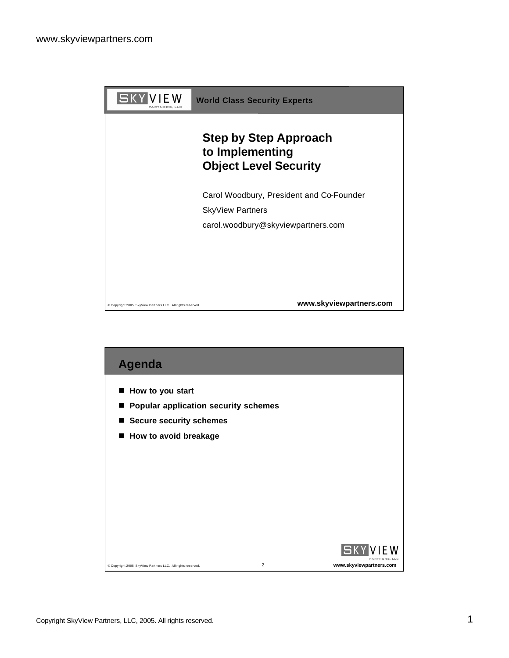

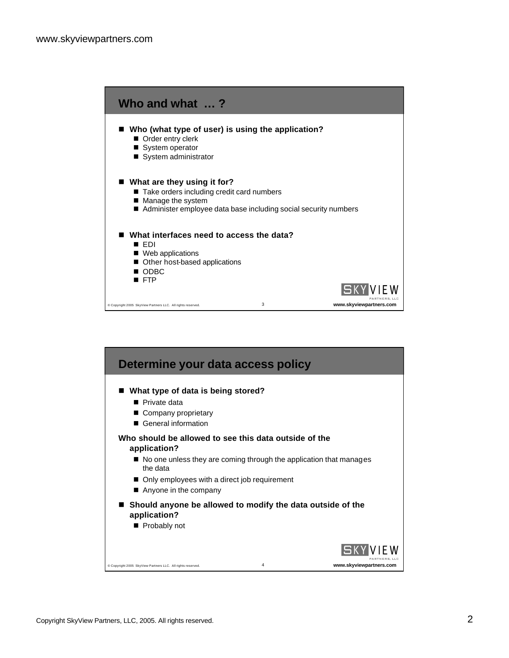

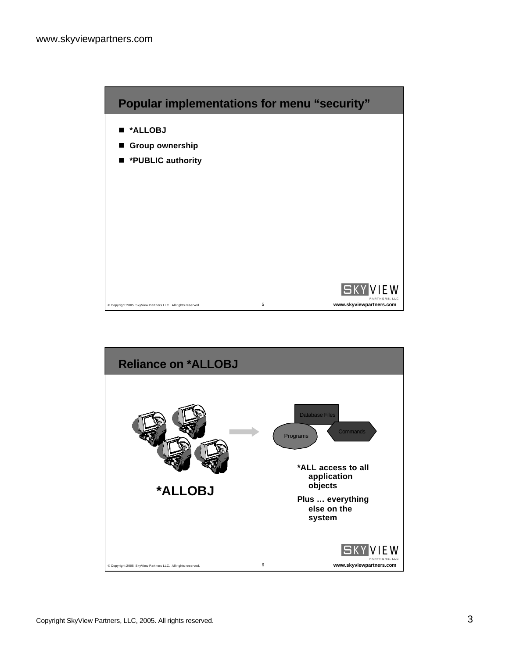

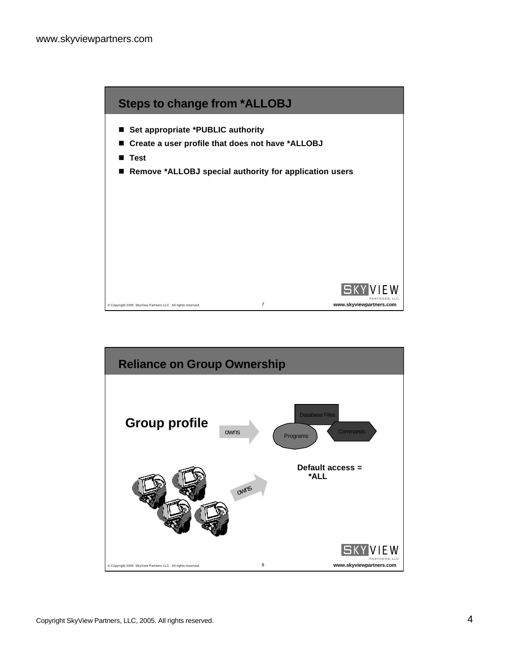

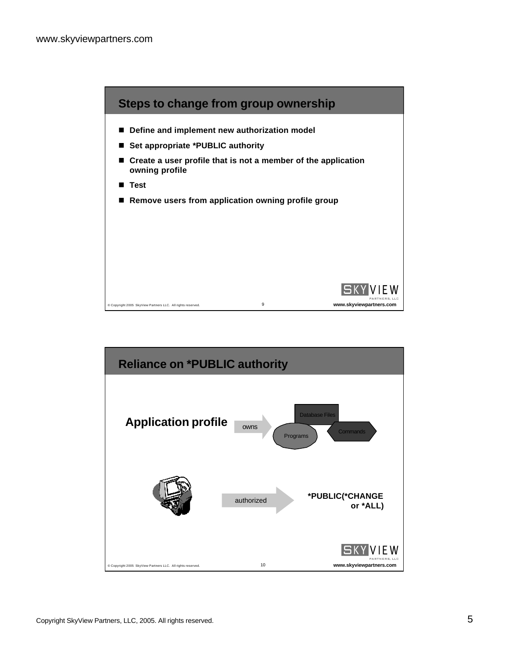

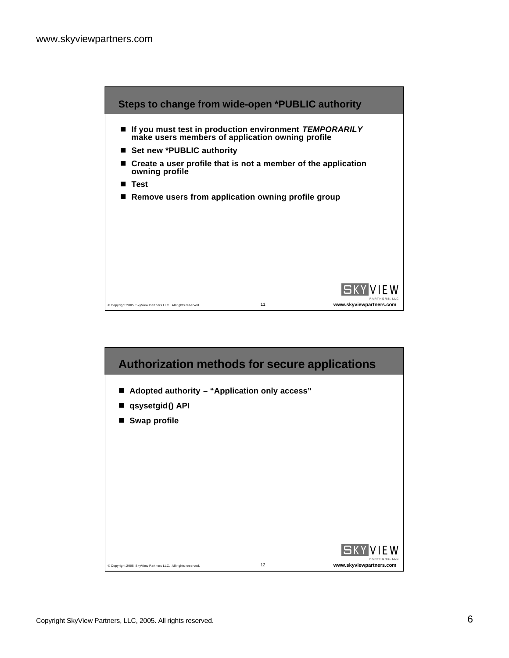

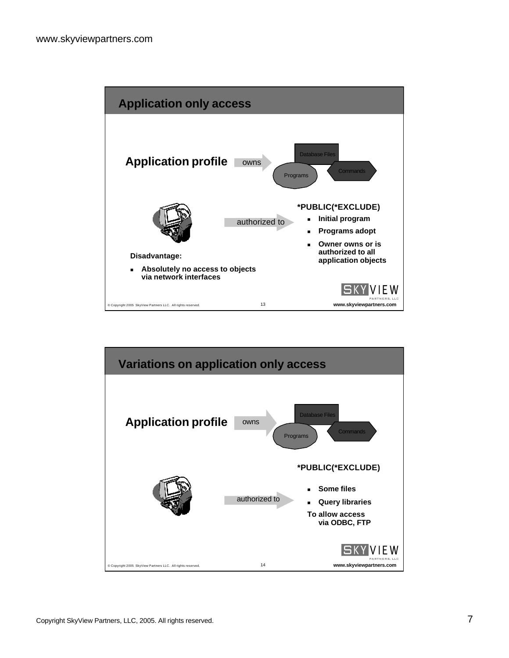

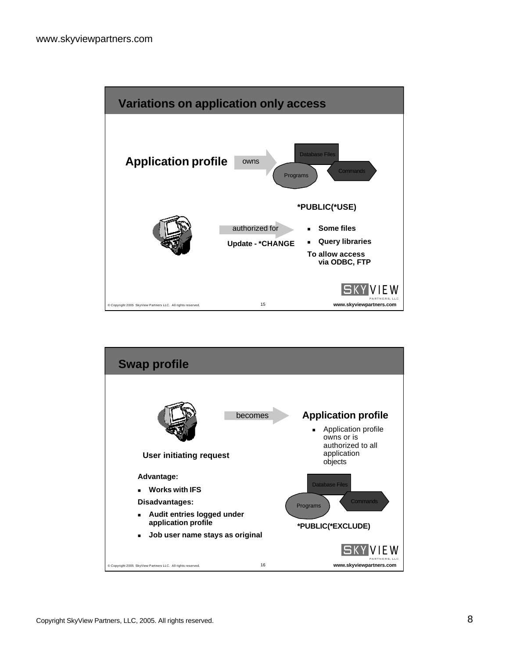

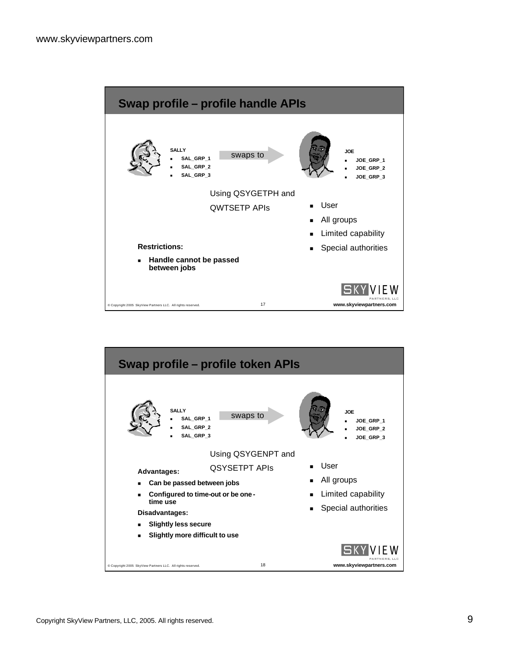

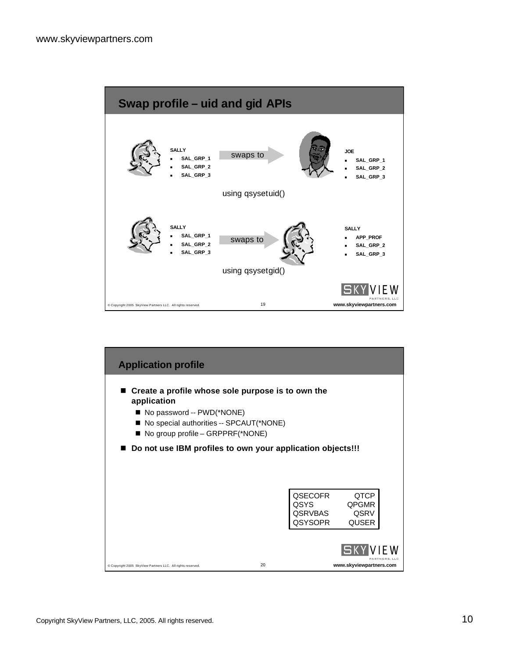

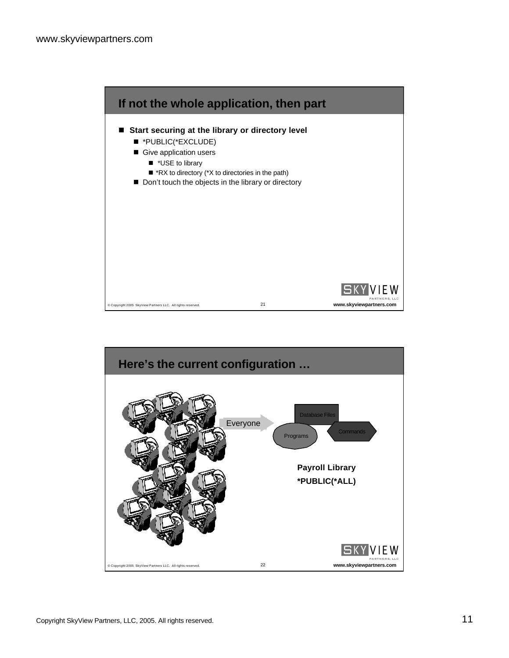

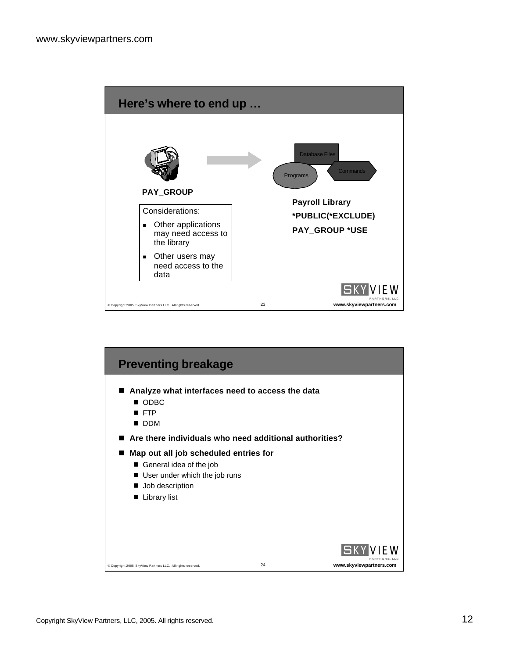

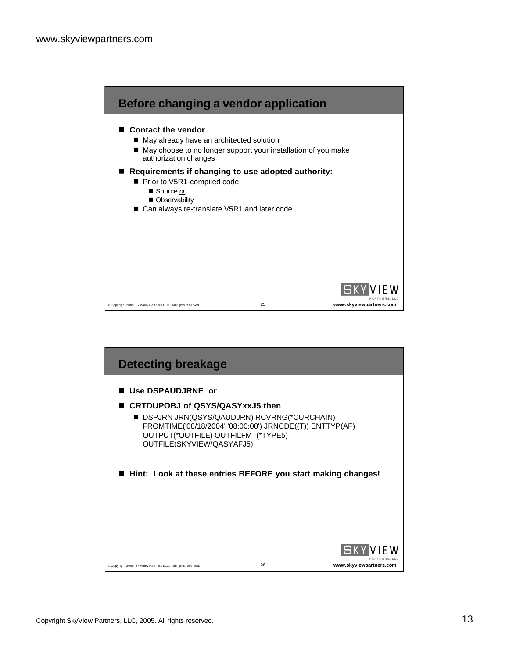

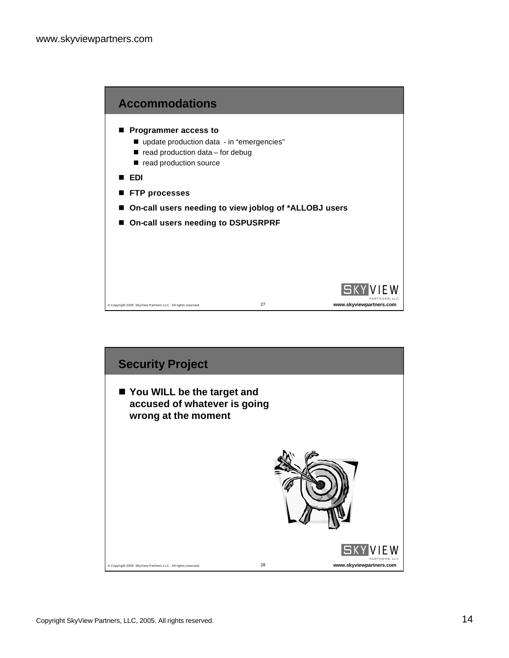